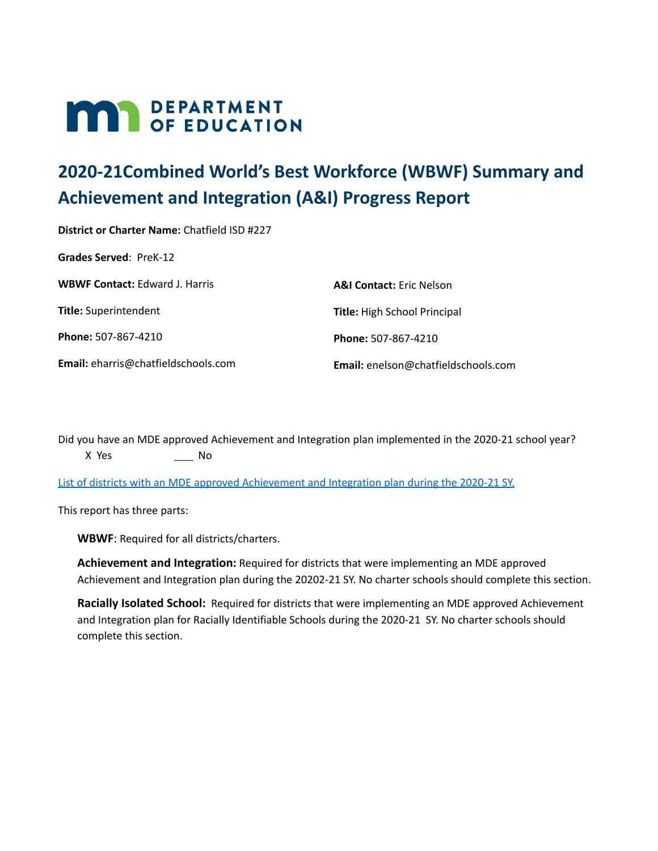# **MAR** DEPARTMENT

# **2020-21Combined World's Best Workforce (WBWF) Summary and Achievement and Integration (A&I) Progress Report**

**District or Charter Name:** Chatfield ISD #227 **Grades Served**: PreK-12 **WBWF Contact:** Edward J. Harris **Title:** Superintendent **Phone:** 507-867-4210 **Email:** eharris@chatfieldschools.com **A&I Contact:** Eric Nelson **Title:** High School Principal **Phone:** 507-867-4210 **Email:** enelson@chatfieldschools.com

Did you have an MDE approved Achievement and Integration plan implemented in the 2020-21 school year? X Yes \_\_\_\_\_\_\_\_\_ No

List of districts with an MDE approved [Achievement](https://education.mn.gov/MDE/fam/003359) and Integration plan during the 2020-21 SY.

This report has three parts:

**WBWF**: Required for all districts/charters.

**Achievement and Integration:** Required for districts that were implementing an MDE approved Achievement and Integration plan during the 20202-21 SY. No charter schools should complete this section.

**Racially Isolated School:** Required for districts that were implementing an MDE approved Achievement and Integration plan for Racially Identifiable Schools during the 2020-21 SY. No charter schools should complete this section.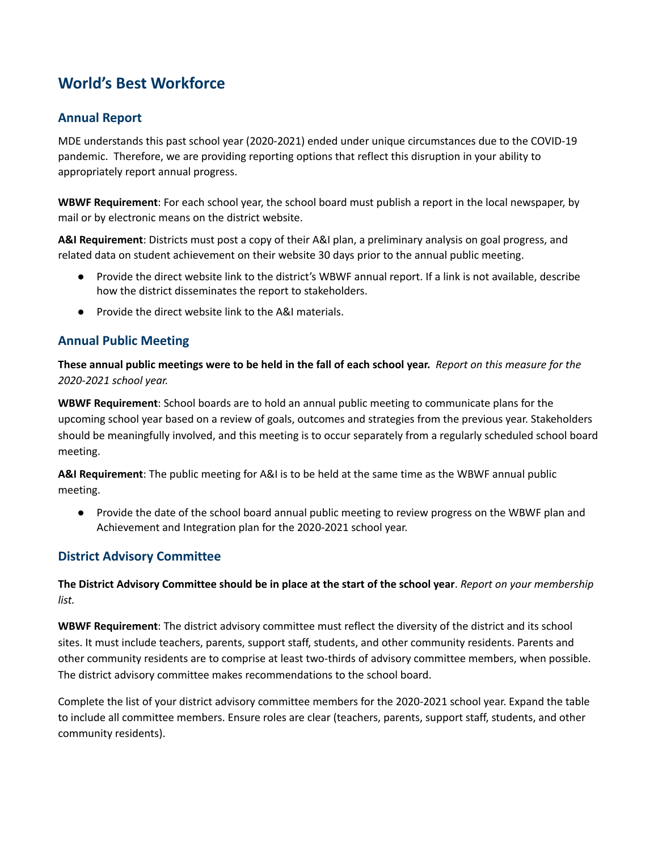## **World's Best Workforce**

## **Annual Report**

MDE understands this past school year (2020-2021) ended under unique circumstances due to the COVID-19 pandemic. Therefore, we are providing reporting options that reflect this disruption in your ability to appropriately report annual progress.

**WBWF Requirement**: For each school year, the school board must publish a report in the local newspaper, by mail or by electronic means on the district website.

**A&I Requirement**: Districts must post a copy of their A&I plan, a preliminary analysis on goal progress, and related data on student achievement on their website 30 days prior to the annual public meeting.

- Provide the direct website link to the district's WBWF annual report. If a link is not available, describe how the district disseminates the report to stakeholders.
- Provide the direct website link to the A&I materials.

## **Annual Public Meeting**

These annual public meetings were to be held in the fall of each school year. Report on this measure for the *2020-2021 school year.*

**WBWF Requirement**: School boards are to hold an annual public meeting to communicate plans for the upcoming school year based on a review of goals, outcomes and strategies from the previous year. Stakeholders should be meaningfully involved, and this meeting is to occur separately from a regularly scheduled school board meeting.

**A&I Requirement**: The public meeting for A&I is to be held at the same time as the WBWF annual public meeting.

● Provide the date of the school board annual public meeting to review progress on the WBWF plan and Achievement and Integration plan for the 2020-2021 school year.

## **District Advisory Committee**

The District Advisory Committee should be in place at the start of the school year. Report on your membership *list.*

**WBWF Requirement**: The district advisory committee must reflect the diversity of the district and its school sites. It must include teachers, parents, support staff, students, and other community residents. Parents and other community residents are to comprise at least two-thirds of advisory committee members, when possible. The district advisory committee makes recommendations to the school board.

Complete the list of your district advisory committee members for the 2020-2021 school year. Expand the table to include all committee members. Ensure roles are clear (teachers, parents, support staff, students, and other community residents).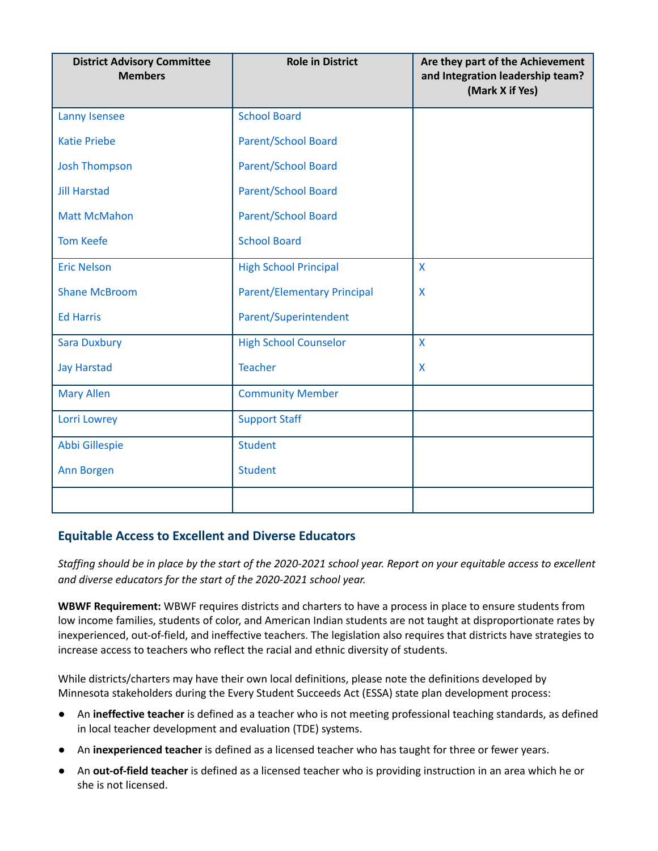| <b>District Advisory Committee</b><br><b>Members</b> | <b>Role in District</b>            | Are they part of the Achievement<br>and Integration leadership team?<br>(Mark X if Yes) |
|------------------------------------------------------|------------------------------------|-----------------------------------------------------------------------------------------|
| Lanny Isensee                                        | <b>School Board</b>                |                                                                                         |
| <b>Katie Priebe</b>                                  | <b>Parent/School Board</b>         |                                                                                         |
| <b>Josh Thompson</b>                                 | Parent/School Board                |                                                                                         |
| <b>Jill Harstad</b>                                  | <b>Parent/School Board</b>         |                                                                                         |
| <b>Matt McMahon</b>                                  | Parent/School Board                |                                                                                         |
| <b>Tom Keefe</b>                                     | <b>School Board</b>                |                                                                                         |
| <b>Eric Nelson</b>                                   | <b>High School Principal</b>       | X                                                                                       |
| <b>Shane McBroom</b>                                 | <b>Parent/Elementary Principal</b> | X                                                                                       |
| <b>Ed Harris</b>                                     | Parent/Superintendent              |                                                                                         |
| <b>Sara Duxbury</b>                                  | <b>High School Counselor</b>       | X                                                                                       |
| <b>Jay Harstad</b>                                   | <b>Teacher</b>                     | X                                                                                       |
| <b>Mary Allen</b>                                    | <b>Community Member</b>            |                                                                                         |
| Lorri Lowrey                                         | <b>Support Staff</b>               |                                                                                         |
| Abbi Gillespie                                       | <b>Student</b>                     |                                                                                         |
| Ann Borgen                                           | <b>Student</b>                     |                                                                                         |
|                                                      |                                    |                                                                                         |

## **Equitable Access to Excellent and Diverse Educators**

Staffing should be in place by the start of the 2020-2021 school year. Report on your equitable access to excellent *and diverse educators for the start of the 2020-2021 school year.*

**WBWF Requirement:** WBWF requires districts and charters to have a process in place to ensure students from low income families, students of color, and American Indian students are not taught at disproportionate rates by inexperienced, out-of-field, and ineffective teachers. The legislation also requires that districts have strategies to increase access to teachers who reflect the racial and ethnic diversity of students.

While districts/charters may have their own local definitions, please note the definitions developed by Minnesota stakeholders during the Every Student Succeeds Act (ESSA) state plan development process:

- An **ineffective teacher** is defined as a teacher who is not meeting professional teaching standards, as defined in local teacher development and evaluation (TDE) systems.
- An **inexperienced teacher** is defined as a licensed teacher who has taught for three or fewer years.
- An **out-of-field teacher** is defined as a licensed teacher who is providing instruction in an area which he or she is not licensed.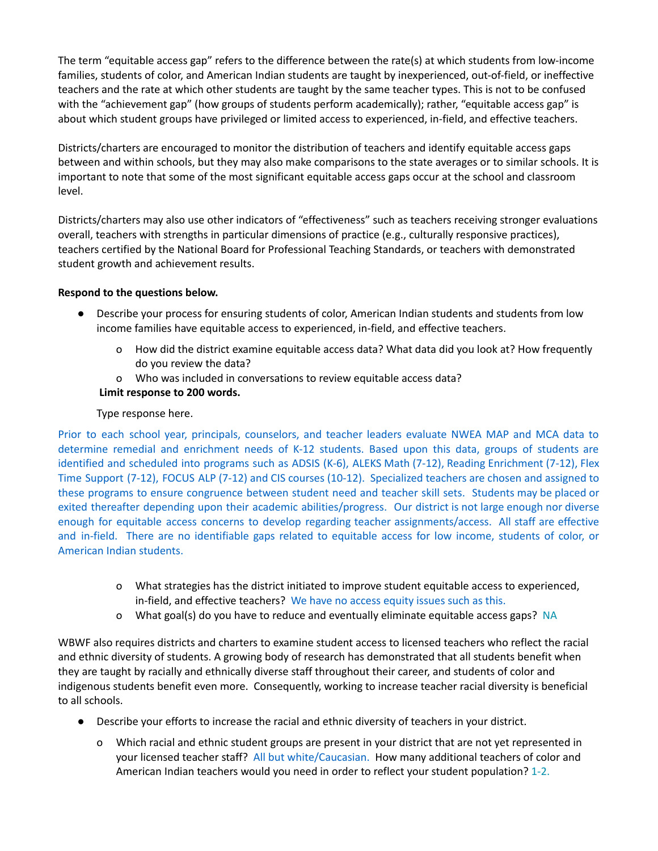The term "equitable access gap" refers to the difference between the rate(s) at which students from low-income families, students of color, and American Indian students are taught by inexperienced, out-of-field, or ineffective teachers and the rate at which other students are taught by the same teacher types. This is not to be confused with the "achievement gap" (how groups of students perform academically); rather, "equitable access gap" is about which student groups have privileged or limited access to experienced, in-field, and effective teachers.

Districts/charters are encouraged to monitor the distribution of teachers and identify equitable access gaps between and within schools, but they may also make comparisons to the state averages or to similar schools. It is important to note that some of the most significant equitable access gaps occur at the school and classroom level.

Districts/charters may also use other indicators of "effectiveness" such as teachers receiving stronger evaluations overall, teachers with strengths in particular dimensions of practice (e.g., culturally responsive practices), teachers certified by the National Board for Professional Teaching Standards, or teachers with demonstrated student growth and achievement results.

## **Respond to the questions below.**

- Describe your process for ensuring students of color, American Indian students and students from low income families have equitable access to experienced, in-field, and effective teachers.
	- o How did the district examine equitable access data? What data did you look at? How frequently do you review the data?
	- o Who was included in conversations to review equitable access data?

## **Limit response to 200 words.**

## Type response here.

Prior to each school year, principals, counselors, and teacher leaders evaluate NWEA MAP and MCA data to determine remedial and enrichment needs of K-12 students. Based upon this data, groups of students are identified and scheduled into programs such as ADSIS (K-6), ALEKS Math (7-12), Reading Enrichment (7-12), Flex Time Support (7-12), FOCUS ALP (7-12) and CIS courses (10-12). Specialized teachers are chosen and assigned to these programs to ensure congruence between student need and teacher skill sets. Students may be placed or exited thereafter depending upon their academic abilities/progress. Our district is not large enough nor diverse enough for equitable access concerns to develop regarding teacher assignments/access. All staff are effective and in-field. There are no identifiable gaps related to equitable access for low income, students of color, or American Indian students.

- o What strategies has the district initiated to improve student equitable access to experienced, in-field, and effective teachers? We have no access equity issues such as this.
- o What goal(s) do you have to reduce and eventually eliminate equitable access gaps? NA

WBWF also requires districts and charters to examine student access to licensed teachers who reflect the racial and ethnic diversity of students. A growing body of research has demonstrated that all students benefit when they are taught by racially and ethnically diverse staff throughout their career, and students of color and indigenous students benefit even more. Consequently, working to increase teacher racial diversity is beneficial to all schools.

- Describe your efforts to increase the racial and ethnic diversity of teachers in your district.
	- o Which racial and ethnic student groups are present in your district that are not yet represented in your licensed teacher staff? All but white/Caucasian. How many additional teachers of color and American Indian teachers would you need in order to reflect your student population? 1-2.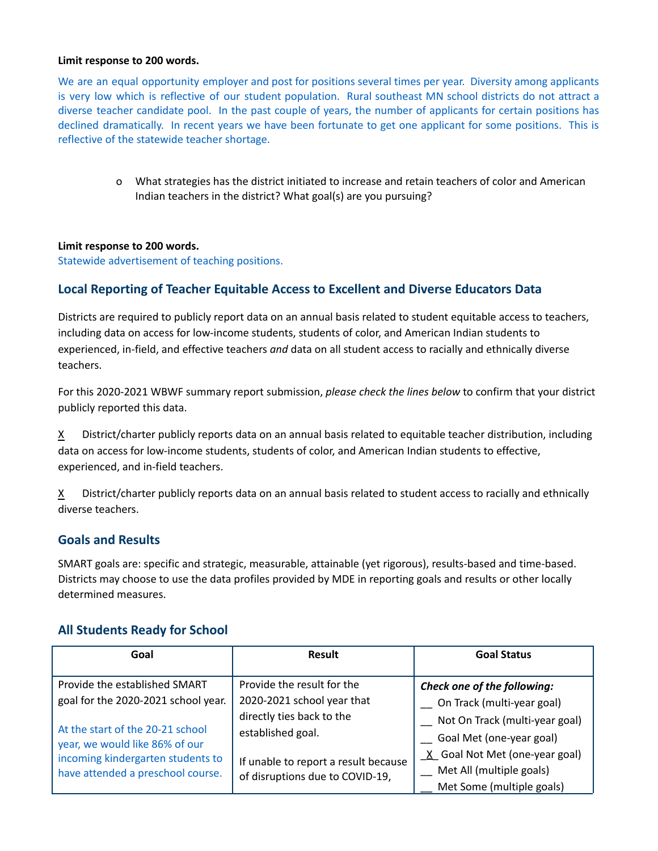#### **Limit response to 200 words.**

We are an equal opportunity employer and post for positions several times per year. Diversity among applicants is very low which is reflective of our student population. Rural southeast MN school districts do not attract a diverse teacher candidate pool. In the past couple of years, the number of applicants for certain positions has declined dramatically. In recent years we have been fortunate to get one applicant for some positions. This is reflective of the statewide teacher shortage.

> o What strategies has the district initiated to increase and retain teachers of color and American Indian teachers in the district? What goal(s) are you pursuing?

## **Limit response to 200 words.**

Statewide advertisement of teaching positions.

## **Local Reporting of Teacher Equitable Access to Excellent and Diverse Educators Data**

Districts are required to publicly report data on an annual basis related to student equitable access to teachers, including data on access for low-income students, students of color, and American Indian students to experienced, in-field, and effective teachers *and* data on all student access to racially and ethnically diverse teachers.

For this 2020-2021 WBWF summary report submission, *please check the lines below* to confirm that your district publicly reported this data.

 $X$  District/charter publicly reports data on an annual basis related to equitable teacher distribution, including data on access for low-income students, students of color, and American Indian students to effective, experienced, and in-field teachers.

X District/charter publicly reports data on an annual basis related to student access to racially and ethnically diverse teachers.

## **Goals and Results**

SMART goals are: specific and strategic, measurable, attainable (yet rigorous), results-based and time-based. Districts may choose to use the data profiles provided by MDE in reporting goals and results or other locally determined measures.

## **All Students Ready for School**

| Goal                                                                   | Result                                                                  | <b>Goal Status</b>                                             |
|------------------------------------------------------------------------|-------------------------------------------------------------------------|----------------------------------------------------------------|
| Provide the established SMART                                          | Provide the result for the                                              | Check one of the following:                                    |
| goal for the 2020-2021 school year.                                    | 2020-2021 school year that<br>directly ties back to the                 | _ On Track (multi-year goal)<br>Not On Track (multi-year goal) |
| At the start of the 20-21 school<br>year, we would like 86% of our     | established goal.                                                       | Goal Met (one-year goal)<br>X Goal Not Met (one-year goal)     |
| incoming kindergarten students to<br>have attended a preschool course. | If unable to report a result because<br>of disruptions due to COVID-19, | _ Met All (multiple goals)                                     |
|                                                                        |                                                                         | Met Some (multiple goals)                                      |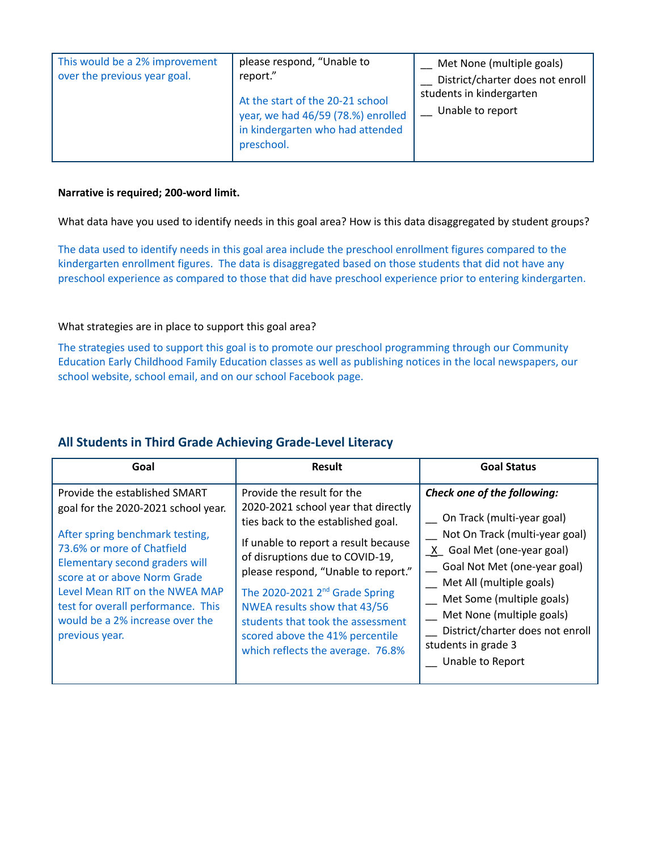| This would be a 2% improvement<br>over the previous year goal. | please respond, "Unable to<br>report."<br>At the start of the 20-21 school<br>year, we had 46/59 (78.%) enrolled<br>in kindergarten who had attended<br>preschool. | Met None (multiple goals)<br>District/charter does not enroll<br>students in kindergarten<br>Unable to report |
|----------------------------------------------------------------|--------------------------------------------------------------------------------------------------------------------------------------------------------------------|---------------------------------------------------------------------------------------------------------------|
|                                                                |                                                                                                                                                                    |                                                                                                               |

What data have you used to identify needs in this goal area? How is this data disaggregated by student groups?

The data used to identify needs in this goal area include the preschool enrollment figures compared to the kindergarten enrollment figures. The data is disaggregated based on those students that did not have any preschool experience as compared to those that did have preschool experience prior to entering kindergarten.

## What strategies are in place to support this goal area?

The strategies used to support this goal is to promote our preschool programming through our Community Education Early Childhood Family Education classes as well as publishing notices in the local newspapers, our school website, school email, and on our school Facebook page.

## **All Students in Third Grade Achieving Grade-Level Literacy**

| Goal                                                                                                                                                                                                                                                                                                                                 | <b>Result</b>                                                                                                                                                                                                                                                                                                                                                                                                        | <b>Goal Status</b>                                                                                                                                                                                                                                                                                                             |
|--------------------------------------------------------------------------------------------------------------------------------------------------------------------------------------------------------------------------------------------------------------------------------------------------------------------------------------|----------------------------------------------------------------------------------------------------------------------------------------------------------------------------------------------------------------------------------------------------------------------------------------------------------------------------------------------------------------------------------------------------------------------|--------------------------------------------------------------------------------------------------------------------------------------------------------------------------------------------------------------------------------------------------------------------------------------------------------------------------------|
| Provide the established SMART<br>goal for the 2020-2021 school year.<br>After spring benchmark testing,<br>73.6% or more of Chatfield<br>Elementary second graders will<br>score at or above Norm Grade<br>Level Mean RIT on the NWEA MAP<br>test for overall performance. This<br>would be a 2% increase over the<br>previous year. | Provide the result for the<br>2020-2021 school year that directly<br>ties back to the established goal.<br>If unable to report a result because<br>of disruptions due to COVID-19,<br>please respond, "Unable to report."<br>The 2020-2021 2 <sup>nd</sup> Grade Spring<br>NWEA results show that 43/56<br>students that took the assessment<br>scored above the 41% percentile<br>which reflects the average. 76.8% | Check one of the following:<br>On Track (multi-year goal)<br>Not On Track (multi-year goal)<br>X Goal Met (one-year goal)<br>Goal Not Met (one-year goal)<br>Met All (multiple goals)<br>Met Some (multiple goals)<br>Met None (multiple goals)<br>District/charter does not enroll<br>students in grade 3<br>Unable to Report |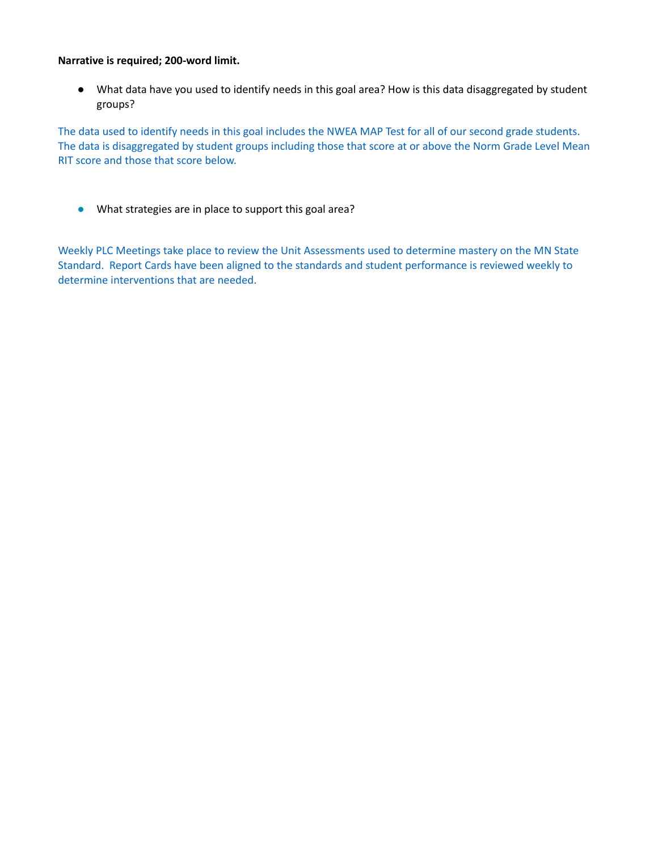● What data have you used to identify needs in this goal area? How is this data disaggregated by student groups?

The data used to identify needs in this goal includes the NWEA MAP Test for all of our second grade students. The data is disaggregated by student groups including those that score at or above the Norm Grade Level Mean RIT score and those that score below.

● What strategies are in place to support this goal area?

Weekly PLC Meetings take place to review the Unit Assessments used to determine mastery on the MN State Standard. Report Cards have been aligned to the standards and student performance is reviewed weekly to determine interventions that are needed.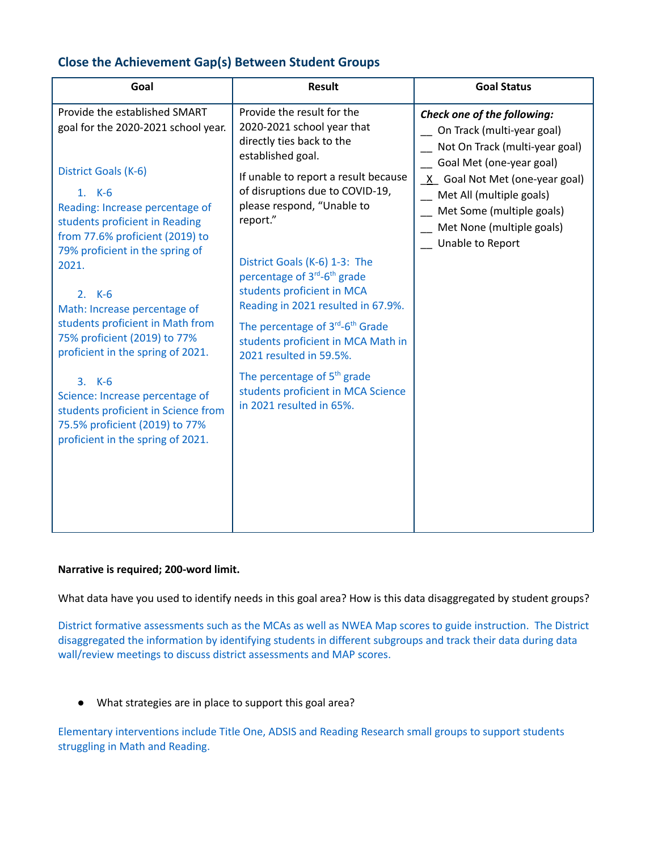## **Close the Achievement Gap(s) Between Student Groups**

## **Narrative is required; 200-word limit.**

What data have you used to identify needs in this goal area? How is this data disaggregated by student groups?

District formative assessments such as the MCAs as well as NWEA Map scores to guide instruction. The District disaggregated the information by identifying students in different subgroups and track their data during data wall/review meetings to discuss district assessments and MAP scores.

● What strategies are in place to support this goal area?

Elementary interventions include Title One, ADSIS and Reading Research small groups to support students struggling in Math and Reading.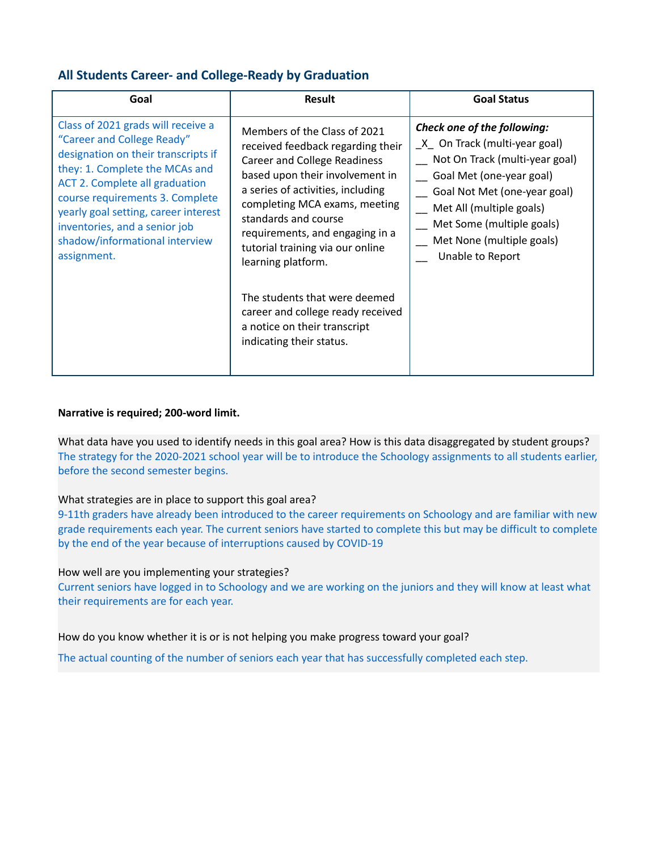## **All Students Career- and College-Ready by Graduation**

| Goal                                                                                                                                                                                                                                                                                                                                            | Result                                                                                                                                                                                                                                                                                                                                                                                                                                                                   | <b>Goal Status</b>                                                                                                                                                                                                                                                    |
|-------------------------------------------------------------------------------------------------------------------------------------------------------------------------------------------------------------------------------------------------------------------------------------------------------------------------------------------------|--------------------------------------------------------------------------------------------------------------------------------------------------------------------------------------------------------------------------------------------------------------------------------------------------------------------------------------------------------------------------------------------------------------------------------------------------------------------------|-----------------------------------------------------------------------------------------------------------------------------------------------------------------------------------------------------------------------------------------------------------------------|
| Class of 2021 grads will receive a<br>"Career and College Ready"<br>designation on their transcripts if<br>they: 1. Complete the MCAs and<br><b>ACT 2. Complete all graduation</b><br>course requirements 3. Complete<br>yearly goal setting, career interest<br>inventories, and a senior job<br>shadow/informational interview<br>assignment. | Members of the Class of 2021<br>received feedback regarding their<br><b>Career and College Readiness</b><br>based upon their involvement in<br>a series of activities, including<br>completing MCA exams, meeting<br>standards and course<br>requirements, and engaging in a<br>tutorial training via our online<br>learning platform.<br>The students that were deemed<br>career and college ready received<br>a notice on their transcript<br>indicating their status. | Check one of the following:<br>$X$ On Track (multi-year goal)<br>Not On Track (multi-year goal)<br>Goal Met (one-year goal)<br>Goal Not Met (one-year goal)<br>Met All (multiple goals)<br>Met Some (multiple goals)<br>Met None (multiple goals)<br>Unable to Report |

## **Narrative is required; 200-word limit.**

What data have you used to identify needs in this goal area? How is this data disaggregated by student groups? The strategy for the 2020-2021 school year will be to introduce the Schoology assignments to all students earlier, before the second semester begins.

## What strategies are in place to support this goal area?

9-11th graders have already been introduced to the career requirements on Schoology and are familiar with new grade requirements each year. The current seniors have started to complete this but may be difficult to complete by the end of the year because of interruptions caused by COVID-19

## How well are you implementing your strategies?

Current seniors have logged in to Schoology and we are working on the juniors and they will know at least what their requirements are for each year.

How do you know whether it is or is not helping you make progress toward your goal?

The actual counting of the number of seniors each year that has successfully completed each step.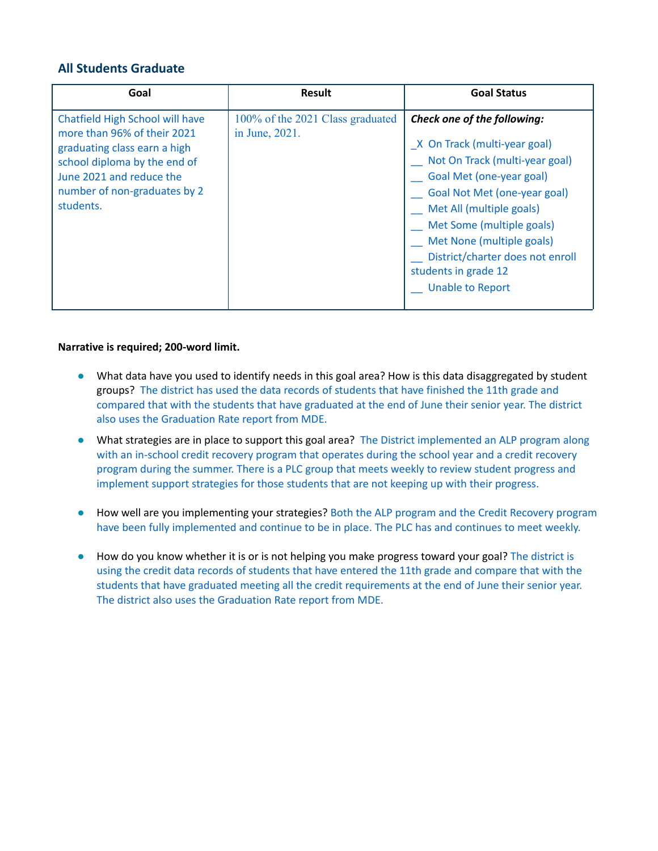## **All Students Graduate**

| Goal                                                                                                                                                                                                    | <b>Result</b>                                      | <b>Goal Status</b>                                                                                                                                                                                                                                                                                                                     |
|---------------------------------------------------------------------------------------------------------------------------------------------------------------------------------------------------------|----------------------------------------------------|----------------------------------------------------------------------------------------------------------------------------------------------------------------------------------------------------------------------------------------------------------------------------------------------------------------------------------------|
| Chatfield High School will have<br>more than 96% of their 2021<br>graduating class earn a high<br>school diploma by the end of<br>June 2021 and reduce the<br>number of non-graduates by 2<br>students. | 100% of the 2021 Class graduated<br>in June, 2021. | Check one of the following:<br>X On Track (multi-year goal)<br>Not On Track (multi-year goal)<br>Goal Met (one-year goal)<br>Goal Not Met (one-year goal)<br>Met All (multiple goals)<br>Met Some (multiple goals)<br>Met None (multiple goals)<br>District/charter does not enroll<br>students in grade 12<br><b>Unable to Report</b> |

## **Narrative is required; 200-word limit.**

- What data have you used to identify needs in this goal area? How is this data disaggregated by student groups? The district has used the data records of students that have finished the 11th grade and compared that with the students that have graduated at the end of June their senior year. The district also uses the Graduation Rate report from MDE.
- What strategies are in place to support this goal area? The District implemented an ALP program along with an in-school credit recovery program that operates during the school year and a credit recovery program during the summer. There is a PLC group that meets weekly to review student progress and implement support strategies for those students that are not keeping up with their progress.
- How well are you implementing your strategies? Both the ALP program and the Credit Recovery program have been fully implemented and continue to be in place. The PLC has and continues to meet weekly.
- How do you know whether it is or is not helping you make progress toward your goal? The district is using the credit data records of students that have entered the 11th grade and compare that with the students that have graduated meeting all the credit requirements at the end of June their senior year. The district also uses the Graduation Rate report from MDE.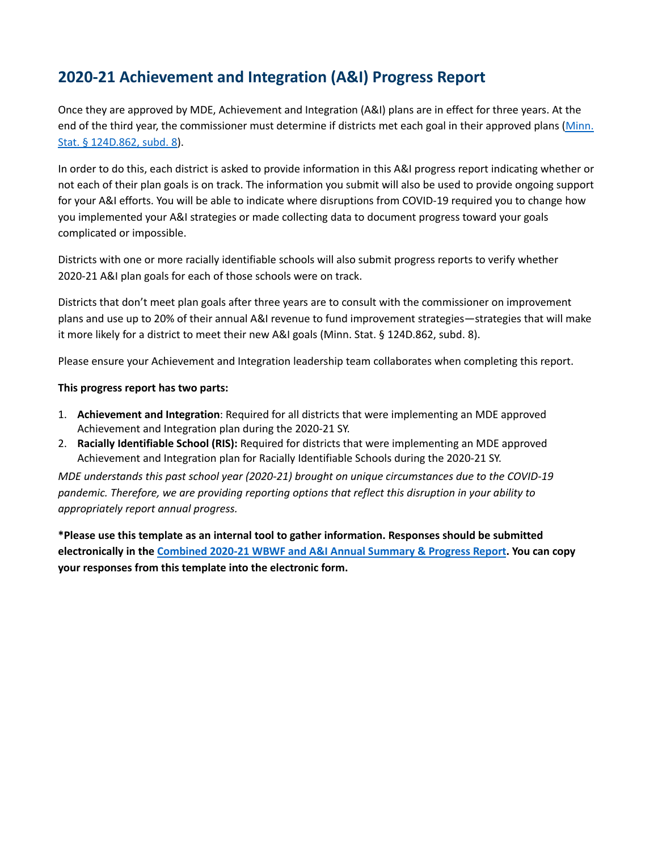# **2020-21 Achievement and Integration (A&I) Progress Report**

Once they are approved by MDE, Achievement and Integration (A&I) plans are in effect for three years. At the end of the third year, the commissioner must determine if districts met each goal in their approved plans [\(Minn.](https://www.revisor.mn.gov/statutes/cite/124D.862) Stat. § [124D.862,](https://www.revisor.mn.gov/statutes/cite/124D.862) subd. 8).

In order to do this, each district is asked to provide information in this A&I progress report indicating whether or not each of their plan goals is on track. The information you submit will also be used to provide ongoing support for your A&I efforts. You will be able to indicate where disruptions from COVID-19 required you to change how you implemented your A&I strategies or made collecting data to document progress toward your goals complicated or impossible.

Districts with one or more racially identifiable schools will also submit progress reports to verify whether 2020-21 A&I plan goals for each of those schools were on track.

Districts that don't meet plan goals after three years are to consult with the commissioner on improvement plans and use up to 20% of their annual A&I revenue to fund improvement strategies—strategies that will make it more likely for a district to meet their new A&I goals (Minn. Stat. § 124D.862, subd. 8).

Please ensure your Achievement and Integration leadership team collaborates when completing this report.

#### **This progress report has two parts:**

- 1. **Achievement and Integration**: Required for all districts that were implementing an MDE approved Achievement and Integration plan during the 2020-21 SY.
- 2. **Racially Identifiable School (RIS):** Required for districts that were implementing an MDE approved Achievement and Integration plan for Racially Identifiable Schools during the 2020-21 SY.

*MDE understands this past school year (2020-21) brought on unique circumstances due to the COVID-19 pandemic. Therefore, we are providing reporting options that reflect this disruption in your ability to appropriately report annual progress.*

**\*Please use this template as an internal tool to gather information. Responses should be submitted electronically in the [Combined](https://survey.alchemer.com/s3/6457272/2020-21-Combined-World-s-Best-Workforce-WBWF-Summary-and-Achievement-and-Integration-A-I-Progress-Report-copy) 2020-21 WBWF and A&I Annual Summary & Progress Report. You can copy your responses from this template into the electronic form.**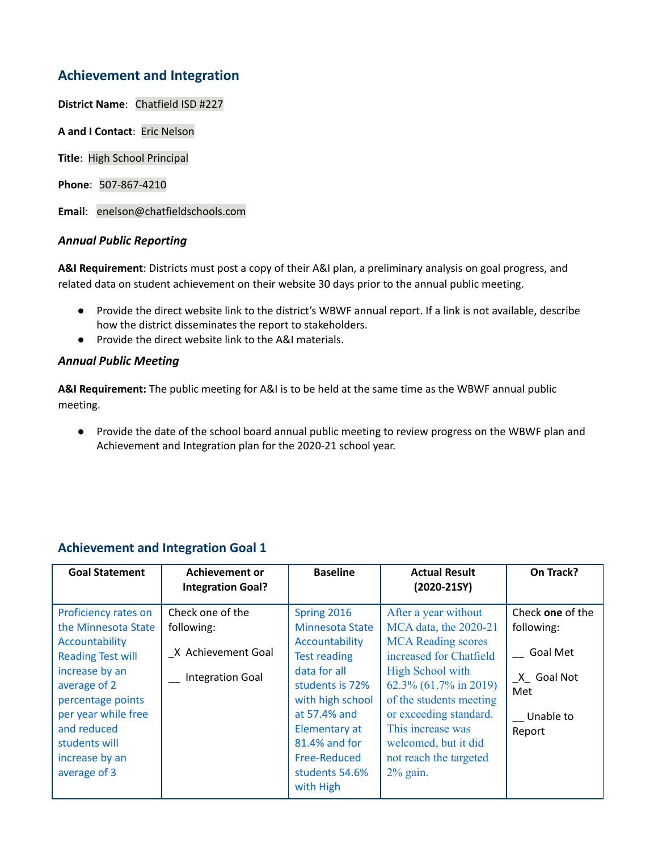## **Achievement and Integration**

**District Name**: Chatfield ISD #227

**A and I Contact**: Eric Nelson

**Title**: High School Principal

**Phone**: 507-867-4210

**Email**: enelson@chatfieldschools.com

## *Annual Public Reporting*

**A&I Requirement**: Districts must post a copy of their A&I plan, a preliminary analysis on goal progress, and related data on student achievement on their website 30 days prior to the annual public meeting.

- Provide the direct website link to the district's WBWF annual report. If a link is not available, describe how the district disseminates the report to stakeholders.
- Provide the direct website link to the A&I materials.

## *Annual Public Meeting*

**A&I Requirement:** The public meeting for A&I is to be held at the same time as the WBWF annual public meeting.

● Provide the date of the school board annual public meeting to review progress on the WBWF plan and Achievement and Integration plan for the 2020-21 school year.

## **Achievement and Integration Goal 1**

| <b>Goal Statement</b>                                                                                                                                                                                                                     | <b>Achievement or</b><br><b>Integration Goal?</b>                               | <b>Baseline</b>                                                                                                                                                                                                                        | <b>Actual Result</b><br>$(2020-215Y)$                                                                                                                                                                                                                                                         | On Track?                                                                                     |
|-------------------------------------------------------------------------------------------------------------------------------------------------------------------------------------------------------------------------------------------|---------------------------------------------------------------------------------|----------------------------------------------------------------------------------------------------------------------------------------------------------------------------------------------------------------------------------------|-----------------------------------------------------------------------------------------------------------------------------------------------------------------------------------------------------------------------------------------------------------------------------------------------|-----------------------------------------------------------------------------------------------|
| Proficiency rates on<br>the Minnesota State<br>Accountability<br><b>Reading Test will</b><br>increase by an<br>average of 2<br>percentage points<br>per year while free<br>and reduced<br>students will<br>increase by an<br>average of 3 | Check one of the<br>following:<br>X Achievement Goal<br><b>Integration Goal</b> | Spring 2016<br><b>Minnesota State</b><br>Accountability<br><b>Test reading</b><br>data for all<br>students is 72%<br>with high school<br>at 57.4% and<br>Elementary at<br>81.4% and for<br>Free-Reduced<br>students 54.6%<br>with High | After a year without<br>MCA data, the 2020-21<br><b>MCA</b> Reading scores<br>increased for Chatfield<br>High School with<br>62.3% (61.7% in 2019)<br>of the students meeting<br>or exceeding standard.<br>This increase was<br>welcomed, but it did<br>not reach the targeted<br>$2\%$ gain. | Check one of the<br>following:<br><b>Goal Met</b><br>X Goal Not<br>Met<br>Unable to<br>Report |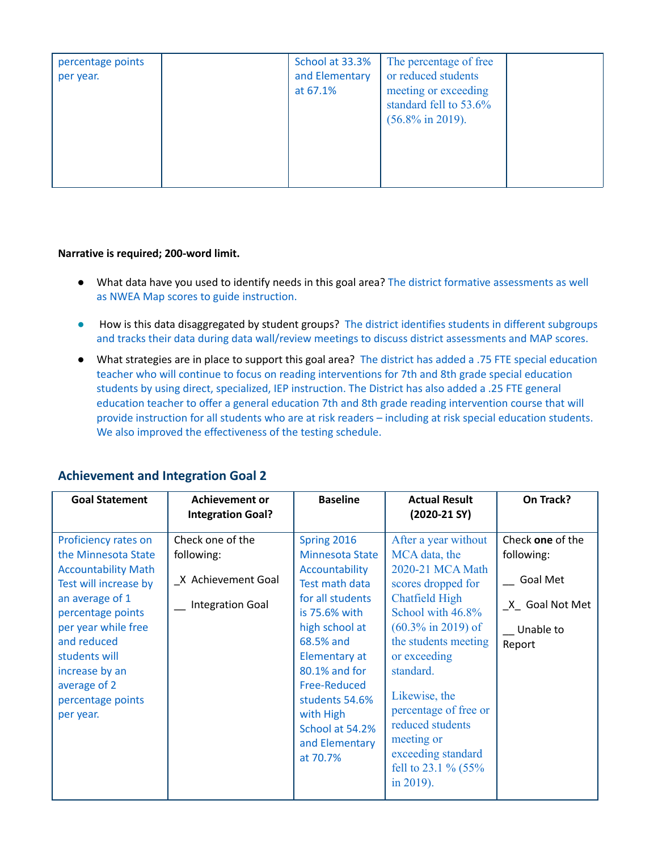| percentage points<br>per year. | School at 33.3%<br>and Elementary<br>at 67.1% | The percentage of free<br>or reduced students<br>meeting or exceeding<br>standard fell to 53.6%<br>$(56.8\% \text{ in } 2019).$ |  |
|--------------------------------|-----------------------------------------------|---------------------------------------------------------------------------------------------------------------------------------|--|
|--------------------------------|-----------------------------------------------|---------------------------------------------------------------------------------------------------------------------------------|--|

- What data have you used to identify needs in this goal area? The district formative assessments as well as NWEA Map scores to guide instruction.
- How is this data disaggregated by student groups? The district identifies students in different subgroups and tracks their data during data wall/review meetings to discuss district assessments and MAP scores.
- What strategies are in place to support this goal area? The district has added a .75 FTE special education teacher who will continue to focus on reading interventions for 7th and 8th grade special education students by using direct, specialized, IEP instruction. The District has also added a .25 FTE general education teacher to offer a general education 7th and 8th grade reading intervention course that will provide instruction for all students who are at risk readers – including at risk special education students. We also improved the effectiveness of the testing schedule.

| <b>Goal Statement</b>                                                                                                                                                                                                                                                 | <b>Achievement or</b><br><b>Integration Goal?</b>                        | <b>Baseline</b>                                                                                                                                                                                                                                                                 | <b>Actual Result</b><br>$(2020-21 \, \text{SY})$                                                                                                                                                                                                                                                                                                                      | On Track?                                                                           |
|-----------------------------------------------------------------------------------------------------------------------------------------------------------------------------------------------------------------------------------------------------------------------|--------------------------------------------------------------------------|---------------------------------------------------------------------------------------------------------------------------------------------------------------------------------------------------------------------------------------------------------------------------------|-----------------------------------------------------------------------------------------------------------------------------------------------------------------------------------------------------------------------------------------------------------------------------------------------------------------------------------------------------------------------|-------------------------------------------------------------------------------------|
| Proficiency rates on<br>the Minnesota State<br><b>Accountability Math</b><br>Test will increase by<br>an average of 1<br>percentage points<br>per year while free<br>and reduced<br>students will<br>increase by an<br>average of 2<br>percentage points<br>per year. | Check one of the<br>following:<br>X Achievement Goal<br>Integration Goal | Spring 2016<br>Minnesota State<br>Accountability<br>Test math data<br>for all students<br>is 75.6% with<br>high school at<br>68.5% and<br><b>Elementary at</b><br>80.1% and for<br>Free-Reduced<br>students 54.6%<br>with High<br>School at 54.2%<br>and Elementary<br>at 70.7% | After a year without<br>MCA data, the<br>2020-21 MCA Math<br>scores dropped for<br><b>Chatfield High</b><br>School with 46.8%<br>$(60.3\% \text{ in } 2019) \text{ of }$<br>the students meeting<br>or exceeding<br>standard.<br>Likewise, the<br>percentage of free or<br>reduced students<br>meeting or<br>exceeding standard<br>fell to 23.1 % $(55%$<br>in 2019). | Check one of the<br>following:<br>Goal Met<br>X Goal Not Met<br>Unable to<br>Report |

## **Achievement and Integration Goal 2**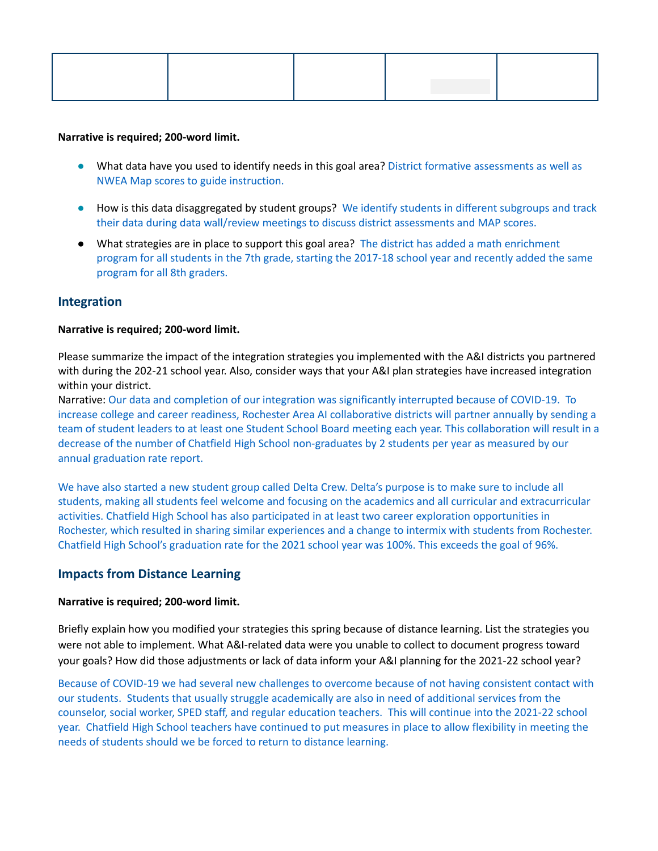- What data have you used to identify needs in this goal area? District formative assessments as well as NWEA Map scores to guide instruction.
- How is this data disaggregated by student groups? We identify students in different subgroups and track their data during data wall/review meetings to discuss district assessments and MAP scores.
- What strategies are in place to support this goal area? The district has added a math enrichment program for all students in the 7th grade, starting the 2017-18 school year and recently added the same program for all 8th graders.

## **Integration**

#### **Narrative is required; 200-word limit.**

Please summarize the impact of the integration strategies you implemented with the A&I districts you partnered with during the 202-21 school year. Also, consider ways that your A&I plan strategies have increased integration within your district.

Narrative: Our data and completion of our integration was significantly interrupted because of COVID-19. To increase college and career readiness, Rochester Area AI collaborative districts will partner annually by sending a team of student leaders to at least one Student School Board meeting each year. This collaboration will result in a decrease of the number of Chatfield High School non-graduates by 2 students per year as measured by our annual graduation rate report.

We have also started a new student group called Delta Crew. Delta's purpose is to make sure to include all students, making all students feel welcome and focusing on the academics and all curricular and extracurricular activities. Chatfield High School has also participated in at least two career exploration opportunities in Rochester, which resulted in sharing similar experiences and a change to intermix with students from Rochester. Chatfield High School's graduation rate for the 2021 school year was 100%. This exceeds the goal of 96%.

## **Impacts from Distance Learning**

#### **Narrative is required; 200-word limit.**

Briefly explain how you modified your strategies this spring because of distance learning. List the strategies you were not able to implement. What A&I-related data were you unable to collect to document progress toward your goals? How did those adjustments or lack of data inform your A&I planning for the 2021-22 school year?

Because of COVID-19 we had several new challenges to overcome because of not having consistent contact with our students. Students that usually struggle academically are also in need of additional services from the counselor, social worker, SPED staff, and regular education teachers. This will continue into the 2021-22 school year. Chatfield High School teachers have continued to put measures in place to allow flexibility in meeting the needs of students should we be forced to return to distance learning.